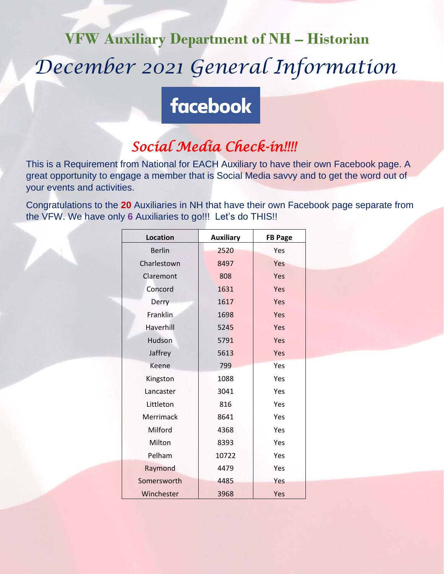# **VFW Auxiliary Department of NH – Historian** *December 2021 General Information*

## **facebook**

## *Social Media Check-in!!!!*

This is a Requirement from National for EACH Auxiliary to have their own Facebook page. A great opportunity to engage a member that is Social Media savvy and to get the word out of your events and activities.

Congratulations to the **20** Auxiliaries in NH that have their own Facebook page separate from the VFW. We have only **6** Auxiliaries to go!!! Let's do THIS!!

| <b>Location</b> | <b>Auxiliary</b> | <b>FB Page</b> |
|-----------------|------------------|----------------|
| <b>Berlin</b>   | 2520             | Yes            |
| Charlestown     | 8497             | Yes            |
| Claremont       | 808              | Yes            |
| Concord         | 1631             | Yes            |
| Derry           | 1617             | Yes            |
| <b>Franklin</b> | 1698             | Yes            |
| Haverhill       | 5245             | Yes            |
| Hudson          | 5791             | Yes            |
| Jaffrey         | 5613             | Yes            |
| Keene           | 799              | Yes            |
| Kingston        | 1088             | Yes            |
| Lancaster       | 3041             | Yes            |
| Littleton       | 816              | Yes            |
| Merrimack       | 8641             | Yes            |
| Milford         | 4368             | Yes            |
| Milton          | 8393             | Yes            |
| Pelham          | 10722            | Yes            |
| Raymond         | 4479             | Yes            |
| Somersworth     | 4485             | Yes            |
| Winchester      | 3968             | Yes            |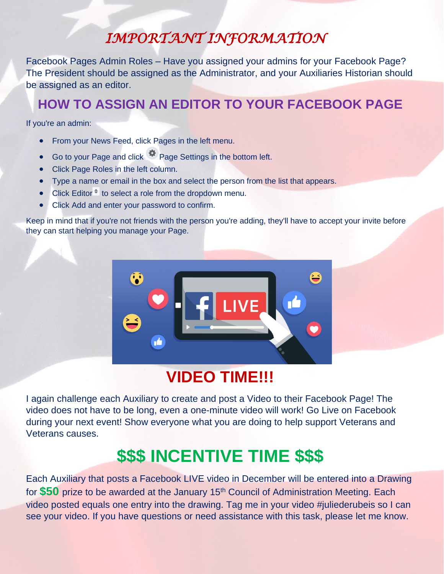## *IMPORTANT INFORMATION*

Facebook Pages Admin Roles – Have you assigned your admins for your Facebook Page? The President should be assigned as the Administrator, and your Auxiliaries Historian should be assigned as an editor.

### **HOW TO ASSIGN AN EDITOR TO YOUR FACEBOOK PAGE**

If you're an admin:

- From your News Feed, click Pages in the left menu.
- Go to your Page and click **Page Settings in the bottom left.**
- Click Page Roles in the left column.
- Type a name or email in the box and select the person from the list that appears.
- Click Editor $\overline{\phantom{a}}$  to select a role from the dropdown menu.
- Click Add and enter your password to confirm.

Keep in mind that if you're not friends with the person you're adding, they'll have to [accept your invite](https://www.facebook.com/help/1021117938014211) before they can start helping you manage your Page.



## **VIDEO TIME!!!**

I again challenge each Auxiliary to create and post a Video to their Facebook Page! The video does not have to be long, even a one-minute video will work! Go Live on Facebook during your next event! Show everyone what you are doing to help support Veterans and Veterans causes.

## **\$\$\$ INCENTIVE TIME \$\$\$**

Each Auxiliary that posts a Facebook LIVE video in December will be entered into a Drawing for **\$50** prize to be awarded at the January 15<sup>th</sup> Council of Administration Meeting. Each video posted equals one entry into the drawing. Tag me in your video #juliederubeis so I can see your video. If you have questions or need assistance with this task, please let me know.